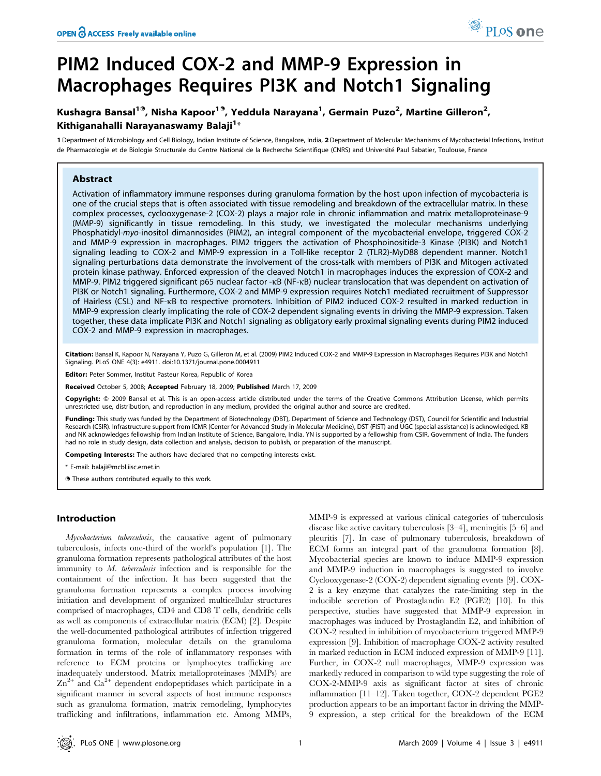# Kushagra Bansal<sup>19</sup>, Nisha Kapoor<sup>19</sup>, Yeddula Narayana<sup>1</sup>, Germain Puzo<sup>2</sup>, Martine Gilleron<sup>2</sup>, Kithiganahalli Narayanaswamy Balaji $^{1\ast}$

1 Department of Microbiology and Cell Biology, Indian Institute of Science, Bangalore, India, 2 Department of Molecular Mechanisms of Mycobacterial Infections, Institut de Pharmacologie et de Biologie Structurale du Centre National de la Recherche Scientifique (CNRS) and Université Paul Sabatier, Toulouse, France

# Abstract

Activation of inflammatory immune responses during granuloma formation by the host upon infection of mycobacteria is one of the crucial steps that is often associated with tissue remodeling and breakdown of the extracellular matrix. In these complex processes, cyclooxygenase-2 (COX-2) plays a major role in chronic inflammation and matrix metalloproteinase-9 (MMP-9) significantly in tissue remodeling. In this study, we investigated the molecular mechanisms underlying Phosphatidyl-myo-inositol dimannosides (PIM2), an integral component of the mycobacterial envelope, triggered COX-2 and MMP-9 expression in macrophages. PIM2 triggers the activation of Phosphoinositide-3 Kinase (PI3K) and Notch1 signaling leading to COX-2 and MMP-9 expression in a Toll-like receptor 2 (TLR2)-MyD88 dependent manner. Notch1 signaling perturbations data demonstrate the involvement of the cross-talk with members of PI3K and Mitogen activated protein kinase pathway. Enforced expression of the cleaved Notch1 in macrophages induces the expression of COX-2 and MMP-9. PIM2 triggered significant p65 nuclear factor -kB (NF-kB) nuclear translocation that was dependent on activation of PI3K or Notch1 signaling. Furthermore, COX-2 and MMP-9 expression requires Notch1 mediated recruitment of Suppressor of Hairless (CSL) and NF-kB to respective promoters. Inhibition of PIM2 induced COX-2 resulted in marked reduction in MMP-9 expression clearly implicating the role of COX-2 dependent signaling events in driving the MMP-9 expression. Taken together, these data implicate PI3K and Notch1 signaling as obligatory early proximal signaling events during PIM2 induced COX-2 and MMP-9 expression in macrophages.

Citation: Bansal K, Kapoor N, Narayana Y, Puzo G, Gilleron M, et al. (2009) PIM2 Induced COX-2 and MMP-9 Expression in Macrophages Requires PI3K and Notch1 Signaling. PLoS ONE 4(3): e4911. doi:10.1371/journal.pone.0004911

Editor: Peter Sommer, Institut Pasteur Korea, Republic of Korea

Received October 5, 2008; Accepted February 18, 2009; Published March 17, 2009

Copyright: @ 2009 Bansal et al. This is an open-access article distributed under the terms of the Creative Commons Attribution License, which permits unrestricted use, distribution, and reproduction in any medium, provided the original author and source are credited.

Funding: This study was funded by the Department of Biotechnology (DBT), Department of Science and Technology (DST), Council for Scientific and Industrial Research (CSIR). Infrastructure support from ICMR (Center for Advanced Study in Molecular Medicine), DST (FIST) and UGC (special assistance) is acknowledged. KB and NK acknowledges fellowship from Indian Institute of Science, Bangalore, India. YN is supported by a fellowship from CSIR, Government of India. The funders had no role in study design, data collection and analysis, decision to publish, or preparation of the manuscript.

Competing Interests: The authors have declared that no competing interests exist.

\* E-mail: balaji@mcbl.iisc.ernet.in

**.** These authors contributed equally to this work.

### Introduction

Mycobacterium tuberculosis, the causative agent of pulmonary tuberculosis, infects one-third of the world's population [1]. The granuloma formation represents pathological attributes of the host immunity to  $M$ . tuberculosis infection and is responsible for the containment of the infection. It has been suggested that the granuloma formation represents a complex process involving initiation and development of organized multicellular structures comprised of macrophages, CD4 and CD8 T cells, dendritic cells as well as components of extracellular matrix (ECM) [2]. Despite the well-documented pathological attributes of infection triggered granuloma formation, molecular details on the granuloma formation in terms of the role of inflammatory responses with reference to ECM proteins or lymphocytes trafficking are inadequately understood. Matrix metalloproteinases (MMPs) are  $\text{Zn}^{2+}$  and  $\text{Ca}^{2+}$  dependent endopeptidases which participate in a significant manner in several aspects of host immune responses such as granuloma formation, matrix remodeling, lymphocytes trafficking and infiltrations, inflammation etc. Among MMPs, MMP-9 is expressed at various clinical categories of tuberculosis disease like active cavitary tuberculosis [3–4], meningitis [5–6] and pleuritis [7]. In case of pulmonary tuberculosis, breakdown of ECM forms an integral part of the granuloma formation [8]. Mycobacterial species are known to induce MMP-9 expression and MMP-9 induction in macrophages is suggested to involve Cyclooxygenase-2 (COX-2) dependent signaling events [9]. COX-2 is a key enzyme that catalyzes the rate-limiting step in the inducible secretion of Prostaglandin E2 (PGE2) [10]. In this perspective, studies have suggested that MMP-9 expression in macrophages was induced by Prostaglandin E2, and inhibition of COX-2 resulted in inhibition of mycobacterium triggered MMP-9 expression [9]. Inhibition of macrophage COX-2 activity resulted in marked reduction in ECM induced expression of MMP-9 [11]. Further, in COX-2 null macrophages, MMP-9 expression was markedly reduced in comparison to wild type suggesting the role of COX-2-MMP-9 axis as significant factor at sites of chronic inflammation [11–12]. Taken together, COX-2 dependent PGE2 production appears to be an important factor in driving the MMP-9 expression, a step critical for the breakdown of the ECM

PLoS one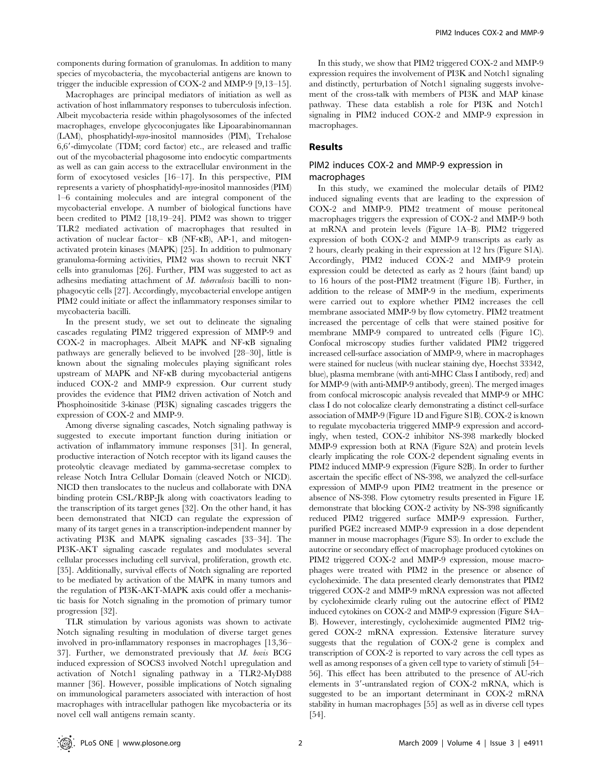components during formation of granulomas. In addition to many species of mycobacteria, the mycobacterial antigens are known to trigger the inducible expression of COX-2 and MMP-9 [9,13–15].

Macrophages are principal mediators of initiation as well as activation of host inflammatory responses to tuberculosis infection. Albeit mycobacteria reside within phagolysosomes of the infected macrophages, envelope glycoconjugates like Lipoarabinomannan (LAM), phosphatidyl-myo-inositol mannosides (PIM), Trehalose  $6,6'$ -dimycolate (TDM; cord factor) etc., are released and traffic out of the mycobacterial phagosome into endocytic compartments as well as can gain access to the extracellular environment in the form of exocytosed vesicles [16–17]. In this perspective, PIM represents a variety of phosphatidyl-myo-inositol mannosides (PIM) 1–6 containing molecules and are integral component of the mycobacterial envelope. A number of biological functions have been credited to PIM2 [18,19–24]. PIM2 was shown to trigger TLR2 mediated activation of macrophages that resulted in activation of nuclear factor– kB (NF-kB), AP-1, and mitogenactivated protein kinases (MAPK) [25]. In addition to pulmonary granuloma-forming activities, PIM2 was shown to recruit NKT cells into granulomas [26]. Further, PIM was suggested to act as adhesins mediating attachment of M. tuberculosis bacilli to nonphagocytic cells [27]. Accordingly, mycobacterial envelope antigen PIM2 could initiate or affect the inflammatory responses similar to mycobacteria bacilli.

In the present study, we set out to delineate the signaling cascades regulating PIM2 triggered expression of MMP-9 and COX-2 in macrophages. Albeit MAPK and NF-kB signaling pathways are generally believed to be involved [28–30], little is known about the signaling molecules playing significant roles upstream of MAPK and NF-kB during mycobacterial antigens induced COX-2 and MMP-9 expression. Our current study provides the evidence that PIM2 driven activation of Notch and Phosphoinositide 3-kinase (PI3K) signaling cascades triggers the expression of COX-2 and MMP-9.

Among diverse signaling cascades, Notch signaling pathway is suggested to execute important function during initiation or activation of inflammatory immune responses [31]. In general, productive interaction of Notch receptor with its ligand causes the proteolytic cleavage mediated by gamma-secretase complex to release Notch Intra Cellular Domain (cleaved Notch or NICD). NICD then translocates to the nucleus and collaborate with DNA binding protein CSL/RBP-Jk along with coactivators leading to the transcription of its target genes [32]. On the other hand, it has been demonstrated that NICD can regulate the expression of many of its target genes in a transcription-independent manner by activating PI3K and MAPK signaling cascades [33–34]. The PI3K-AKT signaling cascade regulates and modulates several cellular processes including cell survival, proliferation, growth etc. [35]. Additionally, survival effects of Notch signaling are reported to be mediated by activation of the MAPK in many tumors and the regulation of PI3K-AKT-MAPK axis could offer a mechanistic basis for Notch signaling in the promotion of primary tumor progression [32].

TLR stimulation by various agonists was shown to activate Notch signaling resulting in modulation of diverse target genes involved in pro-inflammatory responses in macrophages [13,36– 37]. Further, we demonstrated previously that M. bovis BCG induced expression of SOCS3 involved Notch1 upregulation and activation of Notch1 signaling pathway in a TLR2-MyD88 manner [36]. However, possible implications of Notch signaling on immunological parameters associated with interaction of host macrophages with intracellular pathogen like mycobacteria or its novel cell wall antigens remain scanty.

In this study, we show that PIM2 triggered COX-2 and MMP-9 expression requires the involvement of PI3K and Notch1 signaling and distinctly, perturbation of Notch1 signaling suggests involvement of the cross-talk with members of PI3K and MAP kinase pathway. These data establish a role for PI3K and Notch1 signaling in PIM2 induced COX-2 and MMP-9 expression in macrophages.

#### Results

# PIM2 induces COX-2 and MMP-9 expression in macrophages

In this study, we examined the molecular details of PIM2 induced signaling events that are leading to the expression of COX-2 and MMP-9. PIM2 treatment of mouse peritoneal macrophages triggers the expression of COX-2 and MMP-9 both at mRNA and protein levels (Figure 1A–B). PIM2 triggered expression of both COX-2 and MMP-9 transcripts as early as 2 hours, clearly peaking in their expression at 12 hrs (Figure S1A). Accordingly, PIM2 induced COX-2 and MMP-9 protein expression could be detected as early as 2 hours (faint band) up to 16 hours of the post-PIM2 treatment (Figure 1B). Further, in addition to the release of MMP-9 in the medium, experiments were carried out to explore whether PIM2 increases the cell membrane associated MMP-9 by flow cytometry. PIM2 treatment increased the percentage of cells that were stained positive for membrane MMP-9 compared to untreated cells (Figure 1C). Confocal microscopy studies further validated PIM2 triggered increased cell-surface association of MMP-9, where in macrophages were stained for nucleus (with nuclear staining dye, Hoechst 33342, blue), plasma membrane (with anti-MHC Class I antibody, red) and for MMP-9 (with anti-MMP-9 antibody, green). The merged images from confocal microscopic analysis revealed that MMP-9 or MHC class I do not colocalize clearly demonstrating a distinct cell-surface association of MMP-9 (Figure 1D and Figure S1B). COX-2 is known to regulate mycobacteria triggered MMP-9 expression and accordingly, when tested, COX-2 inhibitor NS-398 markedly blocked MMP-9 expression both at RNA (Figure S2A) and protein levels clearly implicating the role COX-2 dependent signaling events in PIM2 induced MMP-9 expression (Figure S2B). In order to further ascertain the specific effect of NS-398, we analyzed the cell-surface expression of MMP-9 upon PIM2 treatment in the presence or absence of NS-398. Flow cytometry results presented in Figure 1E demonstrate that blocking COX-2 activity by NS-398 significantly reduced PIM2 triggered surface MMP-9 expression. Further, purified PGE2 increased MMP-9 expression in a dose dependent manner in mouse macrophages (Figure S3). In order to exclude the autocrine or secondary effect of macrophage produced cytokines on PIM2 triggered COX-2 and MMP-9 expression, mouse macrophages were treated with PIM2 in the presence or absence of cycloheximide. The data presented clearly demonstrates that PIM2 triggered COX-2 and MMP-9 mRNA expression was not affected by cycloheximide clearly ruling out the autocrine effect of PIM2 induced cytokines on COX-2 and MMP-9 expression (Figure S4A– B). However, interestingly, cycloheximide augmented PIM2 triggered COX-2 mRNA expression. Extensive literature survey suggests that the regulation of COX-2 gene is complex and transcription of COX-2 is reported to vary across the cell types as well as among responses of a given cell type to variety of stimuli [54– 56]. This effect has been attributed to the presence of AU-rich elements in 3'-untranslated region of COX-2 mRNA, which is suggested to be an important determinant in COX-2 mRNA stability in human macrophages [55] as well as in diverse cell types [54].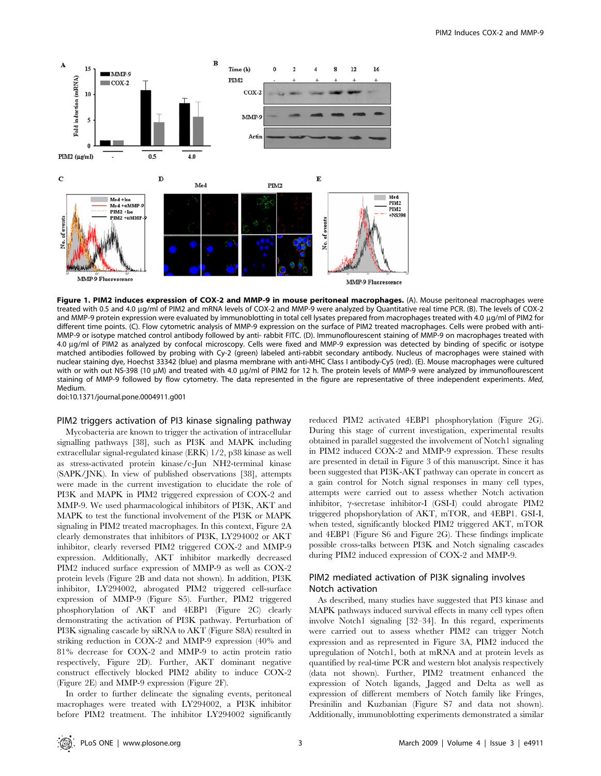

Figure 1. PIM2 induces expression of COX-2 and MMP-9 in mouse peritoneal macrophages. (A). Mouse peritoneal macrophages were treated with 0.5 and 4.0 mg/ml of PIM2 and mRNA levels of COX-2 and MMP-9 were analyzed by Quantitative real time PCR. (B). The levels of COX-2 and MMP-9 protein expression were evaluated by immunoblotting in total cell lysates prepared from macrophages treated with 4.0 µg/ml of PIM2 for different time points. (C). Flow cytometric analysis of MMP-9 expression on the surface of PIM2 treated macrophages. Cells were probed with anti-MMP-9 or isotype matched control antibody followed by anti- rabbit FITC. (D). Immunoflourescent staining of MMP-9 on macrophages treated with 4.0 mg/ml of PIM2 as analyzed by confocal microscopy. Cells were fixed and MMP-9 expression was detected by binding of specific or isotype matched antibodies followed by probing with Cy-2 (green) labeled anti-rabbit secondary antibody. Nucleus of macrophages were stained with nuclear staining dye, Hoechst 33342 (blue) and plasma membrane with anti-MHC Class I antibody-Cy5 (red). (E). Mouse macrophages were cultured with or with out NS-398 (10 µM) and treated with 4.0 µg/ml of PIM2 for 12 h. The protein levels of MMP-9 were analyzed by immunoflourescent staining of MMP-9 followed by flow cytometry. The data represented in the figure are representative of three independent experiments. Med, Medium.

doi:10.1371/journal.pone.0004911.g001

# PIM2 triggers activation of PI3 kinase signaling pathway

Mycobacteria are known to trigger the activation of intracellular signalling pathways [38], such as PI3K and MAPK including extracellular signal-regulated kinase (ERK) 1/2, p38 kinase as well as stress-activated protein kinase/c-Jun NH2-terminal kinase (SAPK/JNK). In view of published observations [38], attempts were made in the current investigation to elucidate the role of PI3K and MAPK in PIM2 triggered expression of COX-2 and MMP-9. We used pharmacological inhibitors of PI3K, AKT and MAPK to test the functional involvement of the PI3K or MAPK signaling in PIM2 treated macrophages. In this context, Figure 2A clearly demonstrates that inhibitors of PI3K, LY294002 or AKT inhibitor, clearly reversed PIM2 triggered COX-2 and MMP-9 expression. Additionally, AKT inhibitor markedly decreased PIM2 induced surface expression of MMP-9 as well as COX-2 protein levels (Figure 2B and data not shown). In addition, PI3K inhibitor, LY294002, abrogated PIM2 triggered cell-surface expression of MMP-9 (Figure S5). Further, PIM2 triggered phosphorylation of AKT and 4EBP1 (Figure 2C) clearly demonstrating the activation of PI3K pathway. Perturbation of PI3K signaling cascade by siRNA to AKT (Figure S8A) resulted in striking reduction in COX-2 and MMP-9 expression (40% and 81% decrease for COX-2 and MMP-9 to actin protein ratio respectively, Figure 2D). Further, AKT dominant negative construct effectively blocked PIM2 ability to induce COX-2 (Figure 2E) and MMP-9 expression (Figure 2F).

In order to further delineate the signaling events, peritoneal macrophages were treated with LY294002, a PI3K inhibitor before PIM2 treatment. The inhibitor LY294002 significantly

reduced PIM2 activated 4EBP1 phosphorylation (Figure 2G). During this stage of current investigation, experimental results obtained in parallel suggested the involvement of Notch1 signaling in PIM2 induced COX-2 and MMP-9 expression. These results are presented in detail in Figure 3 of this manuscript. Since it has been suggested that PI3K-AKT pathway can operate in concert as a gain control for Notch signal responses in many cell types, attempts were carried out to assess whether Notch activation inhibitor,  $\gamma$ -secretase inhibitor-I (GSI-I) could abrogate PIM2 triggered phopshorylation of AKT, mTOR, and 4EBP1. GSI-I, when tested, significantly blocked PIM2 triggered AKT, mTOR and 4EBP1 (Figure S6 and Figure 2G). These findings implicate possible cross-talks between PI3K and Notch signaling cascades during PIM2 induced expression of COX-2 and MMP-9.

# PIM2 mediated activation of PI3K signaling involves Notch activation

As described, many studies have suggested that PI3 kinase and MAPK pathways induced survival effects in many cell types often involve Notch1 signaling [32–34]. In this regard, experiments were carried out to assess whether PIM2 can trigger Notch expression and as represented in Figure 3A, PIM2 induced the upregulation of Notch1, both at mRNA and at protein levels as quantified by real-time PCR and western blot analysis respectively (data not shown). Further, PIM2 treatment enhanced the expression of Notch ligands, Jagged and Delta as well as expression of different members of Notch family like Fringes, Presinilin and Kuzbanian (Figure S7 and data not shown). Additionally, immunoblotting experiments demonstrated a similar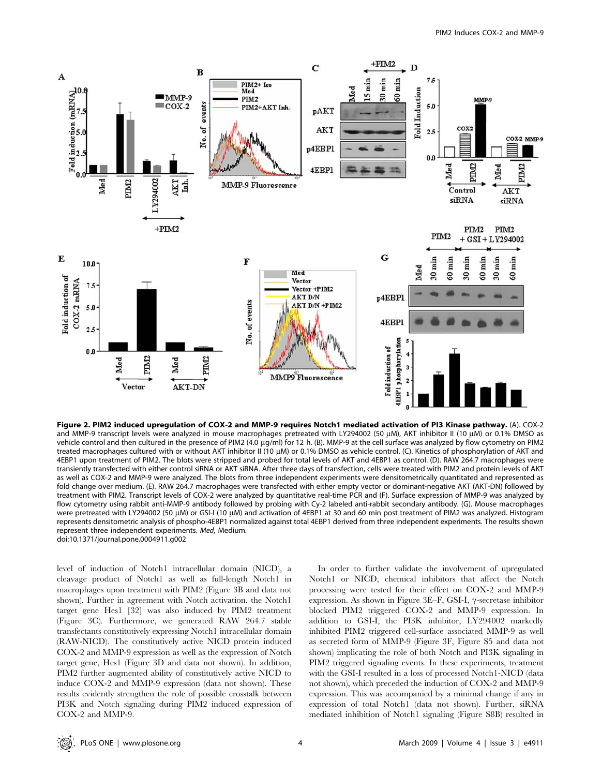

Figure 2. PIM2 induced upregulation of COX-2 and MMP-9 requires Notch1 mediated activation of PI3 Kinase pathway. (A). COX-2 and MMP-9 transcript levels were analyzed in mouse macrophages pretreated with LY294002 (50  $\mu$ M), AKT inhibitor II (10  $\mu$ M) or 0.1% DMSO as vehicle control and then cultured in the presence of PIM2 (4.0 µg/ml) for 12 h. (B). MMP-9 at the cell surface was analyzed by flow cytometry on PIM2 treated macrophages cultured with or without AKT inhibitor II (10 μM) or 0.1% DMSO as vehicle control. (C). Kinetics of phosphorylation of AKT and 4EBP1 upon treatment of PIM2. The blots were stripped and probed for total levels of AKT and 4EBP1 as control. (D). RAW 264.7 macrophages were transiently transfected with either control siRNA or AKT siRNA. After three days of transfection, cells were treated with PIM2 and protein levels of AKT as well as COX-2 and MMP-9 were analyzed. The blots from three independent experiments were densitometrically quantitated and represented as fold change over medium. (E). RAW 264.7 macrophages were transfected with either empty vector or dominant-negative AKT (AKT-DN) followed by treatment with PIM2. Transcript levels of COX-2 were analyzed by quantitative real-time PCR and (F). Surface expression of MMP-9 was analyzed by flow cytometry using rabbit anti-MMP-9 antibody followed by probing with Cy-2 labeled anti-rabbit secondary antibody. (G). Mouse macrophages were pretreated with LY294002 (50 μM) or GSI-I (10 μM) and activation of 4EBP1 at 30 and 60 min post treatment of PIM2 was analyzed. Histogram represents densitometric analysis of phospho-4EBP1 normalized against total 4EBP1 derived from three independent experiments. The results shown represent three independent experiments. Med, Medium. doi:10.1371/journal.pone.0004911.g002

level of induction of Notch1 intracellular domain (NICD), a cleavage product of Notch1 as well as full-length Notch1 in macrophages upon treatment with PIM2 (Figure 3B and data not shown). Further in agreement with Notch activation, the Notch1 target gene Hes1 [32] was also induced by PIM2 treatment (Figure 3C). Furthermore, we generated RAW 264.7 stable transfectants constitutively expressing Notch1 intracellular domain (RAW-NICD). The constitutively active NICD protein induced COX-2 and MMP-9 expression as well as the expression of Notch target gene, Hes1 (Figure 3D and data not shown). In addition, PIM2 further augmented ability of constitutively active NICD to induce COX-2 and MMP-9 expression (data not shown). These results evidently strengthen the role of possible crosstalk between PI3K and Notch signaling during PIM2 induced expression of COX-2 and MMP-9.

In order to further validate the involvement of upregulated Notch1 or NICD, chemical inhibitors that affect the Notch processing were tested for their effect on COX-2 and MMP-9 expression. As shown in Figure 3E–F, GSI-I,  $\gamma$ -secretase inhibitor blocked PIM2 triggered COX-2 and MMP-9 expression. In addition to GSI-I, the PI3K inhibitor, LY294002 markedly inhibited PIM2 triggered cell-surface associated MMP-9 as well as secreted form of MMP-9 (Figure 3F, Figure S5 and data not shown) implicating the role of both Notch and PI3K signaling in PIM2 triggered signaling events. In these experiments, treatment with the GSI-I resulted in a loss of processed Notch1-NICD (data not shown), which preceded the induction of COX-2 and MMP-9 expression. This was accompanied by a minimal change if any in expression of total Notch1 (data not shown). Further, siRNA mediated inhibition of Notch1 signaling (Figure S8B) resulted in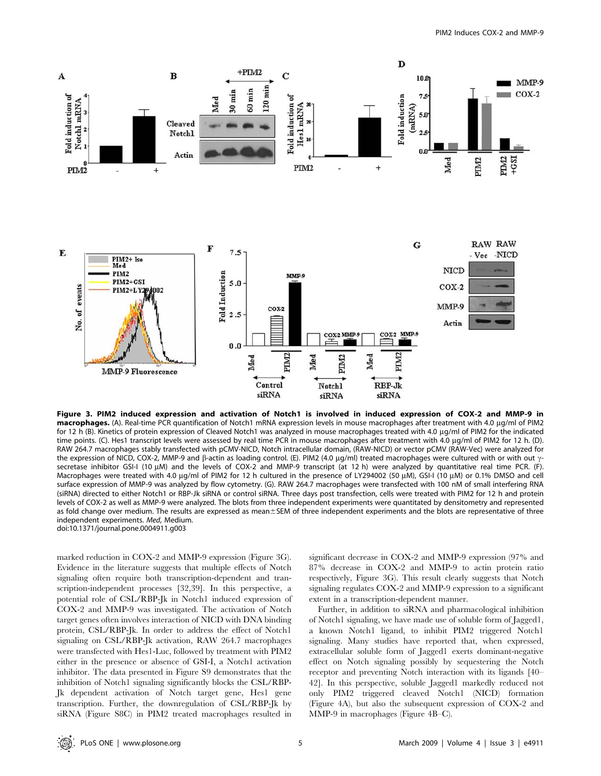

Figure 3. PIM2 induced expression and activation of Notch1 is involved in induced expression of COX-2 and MMP-9 in macrophages. (A). Real-time PCR quantification of Notch1 mRNA expression levels in mouse macrophages after treatment with 4.0 µg/ml of PIM2 for 12 h (B). Kinetics of protein expression of Cleaved Notch1 was analyzed in mouse macrophages treated with 4.0 µg/ml of PIM2 for the indicated time points. (C). Hes1 transcript levels were assessed by real time PCR in mouse macrophages after treatment with 4.0 µg/ml of PIM2 for 12 h. (D). RAW 264.7 macrophages stably transfected with pCMV-NICD, Notch intracellular domain, (RAW-NICD) or vector pCMV (RAW-Vec) were analyzed for the expression of NICD, COX-2, MMP-9 and  $\beta$ -actin as loading control. (E). PIM2 (4.0 µg/ml) treated macrophages were cultured with or with out  $\gamma$ secretase inhibitor GSI-I (10  $\mu$ M) and the levels of COX-2 and MMP-9 transcript (at 12 h) were analyzed by quantitative real time PCR. (F). Macrophages were treated with 4.0 µg/ml of PIM2 for 12 h cultured in the presence of LY294002 (50 µM), GSI-I (10 µM) or 0.1% DMSO and cell surface expression of MMP-9 was analyzed by flow cytometry. (G). RAW 264.7 macrophages were transfected with 100 nM of small interfering RNA (siRNA) directed to either Notch1 or RBP-Jk siRNA or control siRNA. Three days post transfection, cells were treated with PIM2 for 12 h and protein levels of COX-2 as well as MMP-9 were analyzed. The blots from three independent experiments were quantitated by densitometry and represented as fold change over medium. The results are expressed as mean±SEM of three independent experiments and the blots are representative of three independent experiments. Med, Medium. doi:10.1371/journal.pone.0004911.g003

marked reduction in COX-2 and MMP-9 expression (Figure 3G). Evidence in the literature suggests that multiple effects of Notch signaling often require both transcription-dependent and transcription-independent processes [32,39]. In this perspective, a potential role of CSL/RBP-Jk in Notch1 induced expression of COX-2 and MMP-9 was investigated. The activation of Notch target genes often involves interaction of NICD with DNA binding protein, CSL/RBP-Jk. In order to address the effect of Notch1 signaling on CSL/RBP-Jk activation, RAW 264.7 macrophages were transfected with Hes1-Luc, followed by treatment with PIM2 either in the presence or absence of GSI-I, a Notch1 activation inhibitor. The data presented in Figure S9 demonstrates that the inhibition of Notch1 signaling significantly blocks the CSL/RBP-Jk dependent activation of Notch target gene, Hes1 gene transcription. Further, the downregulation of CSL/RBP-Jk by siRNA (Figure S8C) in PIM2 treated macrophages resulted in significant decrease in COX-2 and MMP-9 expression (97% and 87% decrease in COX-2 and MMP-9 to actin protein ratio respectively, Figure 3G). This result clearly suggests that Notch signaling regulates COX-2 and MMP-9 expression to a significant extent in a transcription-dependent manner.

Further, in addition to siRNA and pharmacological inhibition of Notch1 signaling, we have made use of soluble form of Jagged1, a known Notch1 ligand, to inhibit PIM2 triggered Notch1 signaling. Many studies have reported that, when expressed, extracellular soluble form of Jagged1 exerts dominant-negative effect on Notch signaling possibly by sequestering the Notch receptor and preventing Notch interaction with its ligands [40– 42]. In this perspective, soluble Jagged1 markedly reduced not only PIM2 triggered cleaved Notch1 (NICD) formation (Figure 4A), but also the subsequent expression of COX-2 and MMP-9 in macrophages (Figure 4B–C).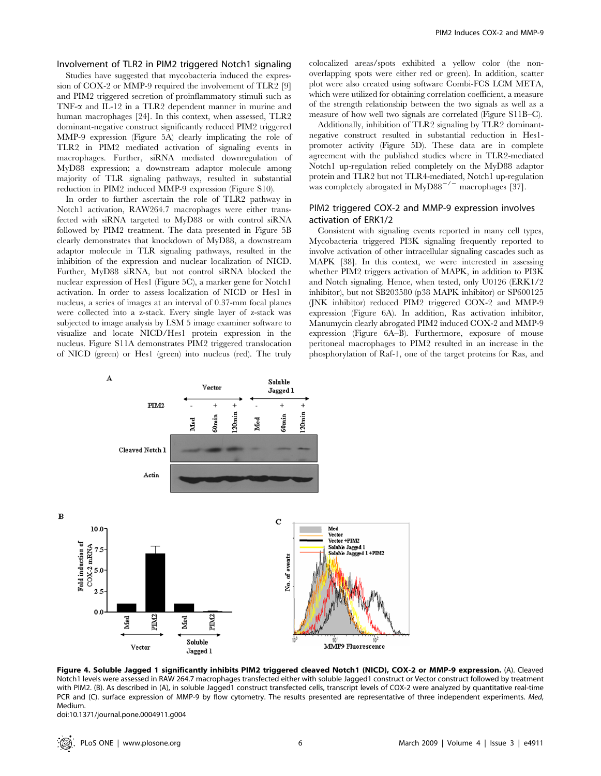# Involvement of TLR2 in PIM2 triggered Notch1 signaling

Studies have suggested that mycobacteria induced the expression of COX-2 or MMP-9 required the involvement of TLR2 [9] and PIM2 triggered secretion of proinflammatory stimuli such as TNF- $\alpha$  and IL-12 in a TLR2 dependent manner in murine and human macrophages [24]. In this context, when assessed, TLR2 dominant-negative construct significantly reduced PIM2 triggered MMP-9 expression (Figure 5A) clearly implicating the role of TLR2 in PIM2 mediated activation of signaling events in macrophages. Further, siRNA mediated downregulation of MyD88 expression; a downstream adaptor molecule among majority of TLR signaling pathways, resulted in substantial reduction in PIM2 induced MMP-9 expression (Figure S10).

In order to further ascertain the role of TLR2 pathway in Notch1 activation, RAW264.7 macrophages were either transfected with siRNA targeted to MyD88 or with control siRNA followed by PIM2 treatment. The data presented in Figure 5B clearly demonstrates that knockdown of MyD88, a downstream adaptor molecule in TLR signaling pathways, resulted in the inhibition of the expression and nuclear localization of NICD. Further, MyD88 siRNA, but not control siRNA blocked the nuclear expression of Hes1 (Figure 5C), a marker gene for Notch1 activation. In order to assess localization of NICD or Hes1 in nucleus, a series of images at an interval of 0.37-mm focal planes were collected into a z-stack. Every single layer of z-stack was subjected to image analysis by LSM 5 image examiner software to visualize and locate NICD/Hes1 protein expression in the nucleus. Figure S11A demonstrates PIM2 triggered translocation of NICD (green) or Hes1 (green) into nucleus (red). The truly

colocalized areas/spots exhibited a yellow color (the nonoverlapping spots were either red or green). In addition, scatter plot were also created using software Combi-FCS LCM META, which were utilized for obtaining correlation coefficient, a measure of the strength relationship between the two signals as well as a measure of how well two signals are correlated (Figure S11B–C).

Additionally, inhibition of TLR2 signaling by TLR2 dominantnegative construct resulted in substantial reduction in Hes1 promoter activity (Figure 5D). These data are in complete agreement with the published studies where in TLR2-mediated Notch1 up-regulation relied completely on the MyD88 adaptor protein and TLR2 but not TLR4-mediated, Notch1 up-regulation was completely abrogated in  $MyD88^{-/-}$  macrophages [37].

## PIM2 triggered COX-2 and MMP-9 expression involves activation of ERK1/2

Consistent with signaling events reported in many cell types, Mycobacteria triggered PI3K signaling frequently reported to involve activation of other intracellular signaling cascades such as MAPK [38]. In this context, we were interested in assessing whether PIM2 triggers activation of MAPK, in addition to PI3K and Notch signaling. Hence, when tested, only U0126 (ERK1/2 inhibitor), but not SB203580 (p38 MAPK inhibitor) or SP600125 (JNK inhibitor) reduced PIM2 triggered COX-2 and MMP-9 expression (Figure 6A). In addition, Ras activation inhibitor, Manumycin clearly abrogated PIM2 induced COX-2 and MMP-9 expression (Figure 6A–B). Furthermore, exposure of mouse peritoneal macrophages to PIM2 resulted in an increase in the phosphorylation of Raf-1, one of the target proteins for Ras, and



Figure 4. Soluble Jagged 1 significantly inhibits PIM2 triggered cleaved Notch1 (NICD), COX-2 or MMP-9 expression. (A). Cleaved Notch1 levels were assessed in RAW 264.7 macrophages transfected either with soluble Jagged1 construct or Vector construct followed by treatment with PIM2. (B). As described in (A), in soluble Jagged1 construct transfected cells, transcript levels of COX-2 were analyzed by quantitative real-time PCR and (C). surface expression of MMP-9 by flow cytometry. The results presented are representative of three independent experiments. Med, Medium.

doi:10.1371/journal.pone.0004911.g004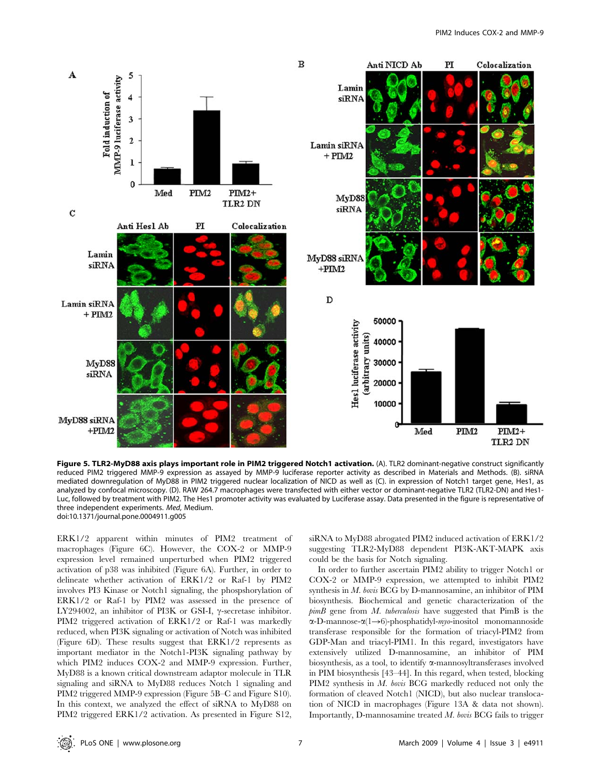

Figure 5. TLR2-MyD88 axis plays important role in PIM2 triggered Notch1 activation. (A). TLR2 dominant-negative construct significantly reduced PIM2 triggered MMP-9 expression as assayed by MMP-9 luciferase reporter activity as described in Materials and Methods. (B). siRNA mediated downregulation of MyD88 in PIM2 triggered nuclear localization of NICD as well as (C). in expression of Notch1 target gene, Hes1, as analyzed by confocal microscopy. (D). RAW 264.7 macrophages were transfected with either vector or dominant-negative TLR2 (TLR2-DN) and Hes1- Luc, followed by treatment with PIM2. The Hes1 promoter activity was evaluated by Luciferase assay. Data presented in the figure is representative of three independent experiments. Med, Medium. doi:10.1371/journal.pone.0004911.g005

ERK1/2 apparent within minutes of PIM2 treatment of macrophages (Figure 6C). However, the COX-2 or MMP-9 expression level remained unperturbed when PIM2 triggered activation of p38 was inhibited (Figure 6A). Further, in order to delineate whether activation of ERK1/2 or Raf-1 by PIM2 involves PI3 Kinase or Notch1 signaling, the phospshorylation of ERK1/2 or Raf-1 by PIM2 was assessed in the presence of LY294002, an inhibitor of PI3K or GSI-I,  $\gamma$ -secretase inhibitor. PIM2 triggered activation of ERK1/2 or Raf-1 was markedly reduced, when PI3K signaling or activation of Notch was inhibited (Figure 6D). These results suggest that ERK1/2 represents as important mediator in the Notch1-PI3K signaling pathway by which PIM2 induces COX-2 and MMP-9 expression. Further, MyD88 is a known critical downstream adaptor molecule in TLR signaling and siRNA to MyD88 reduces Notch 1 signaling and PIM2 triggered MMP-9 expression (Figure 5B–C and Figure S10). In this context, we analyzed the effect of siRNA to MyD88 on PIM2 triggered ERK1/2 activation. As presented in Figure S12,

siRNA to MyD88 abrogated PIM2 induced activation of ERK1/2 suggesting TLR2-MyD88 dependent PI3K-AKT-MAPK axis could be the basis for Notch signaling.

In order to further ascertain PIM2 ability to trigger Notch1 or COX-2 or MMP-9 expression, we attempted to inhibit PIM2 synthesis in M. bovis BCG by D-mannosamine, an inhibitor of PIM biosynthesis. Biochemical and genetic characterization of the  $\text{pim}B$  gene from M. tuberculosis have suggested that  $\text{Pim}B$  is the α-D-mannose-α(1→6)-phosphatidyl-*myo*-inositol monomannoside transferase responsible for the formation of triacyl-PIM2 from GDP-Man and triacyl-PIM1. In this regard, investigators have extensively utilized D-mannosamine, an inhibitor of PIM biosynthesis, as a tool, to identify  $\alpha$ -mannosyltransferases involved in PIM biosynthesis [43–44]. In this regard, when tested, blocking PIM2 synthesis in M. bovis BCG markedly reduced not only the formation of cleaved Notch1 (NICD), but also nuclear translocation of NICD in macrophages (Figure 13A & data not shown). Importantly, D-mannosamine treated M. bovis BCG fails to trigger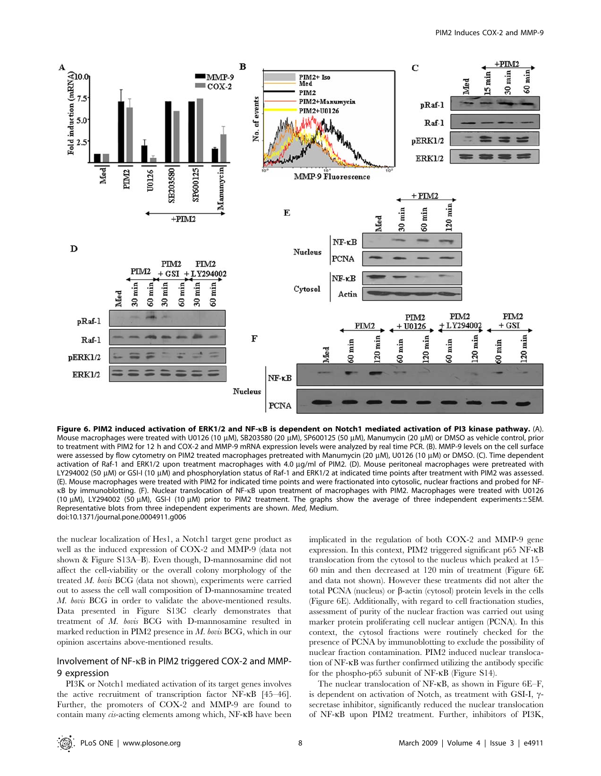

Figure 6. PIM2 induced activation of ERK1/2 and NF-*k*B is dependent on Notch1 mediated activation of PI3 kinase pathway. (A). Mouse macrophages were treated with U0126 (10 μM), SB203580 (20 μM), SP600125 (50 μM), Manumycin (20 μM) or DMSO as vehicle control, prior to treatment with PIM2 for 12 h and COX-2 and MMP-9 mRNA expression levels were analyzed by real time PCR. (B). MMP-9 levels on the cell surface were assessed by flow cytometry on PIM2 treated macrophages pretreated with Manumycin (20 µM), U0126 (10 µM) or DMSO. (C). Time dependent activation of Raf-1 and ERK1/2 upon treatment macrophages with 4.0 µg/ml of PIM2. (D). Mouse peritoneal macrophages were pretreated with LY294002 (50 µM) or GSI-I (10 µM) and phosphorylation status of Raf-1 and ERK1/2 at indicated time points after treatment with PIM2 was assessed. (E). Mouse macrophages were treated with PIM2 for indicated time points and were fractionated into cytosolic, nuclear fractions and probed for NFkB by immunoblotting. (F). Nuclear translocation of NF-kB upon treatment of macrophages with PIM2. Macrophages were treated with U0126 (10  $\mu$ M), LY294002 (50  $\mu$ M), GSI-I (10  $\mu$ M) prior to PIM2 treatment. The graphs show the average of three independent experiments $\pm$ SEM. Representative blots from three independent experiments are shown. Med, Medium. doi:10.1371/journal.pone.0004911.g006

the nuclear localization of Hes1, a Notch1 target gene product as well as the induced expression of COX-2 and MMP-9 (data not shown & Figure S13A–B). Even though, D-mannosamine did not affect the cell-viability or the overall colony morphology of the treated M. bovis BCG (data not shown), experiments were carried out to assess the cell wall composition of D-mannosamine treated M. bovis BCG in order to validate the above-mentioned results. Data presented in Figure S13C clearly demonstrates that treatment of M. bovis BCG with D-mannosamine resulted in marked reduction in PIM2 presence in M. bovis BCG, which in our opinion ascertains above-mentioned results.

# Involvement of NF-kB in PIM2 triggered COX-2 and MMP-9 expression

PI3K or Notch1 mediated activation of its target genes involves the active recruitment of transcription factor NF-kB [45–46]. Further, the promoters of COX-2 and MMP-9 are found to contain many cis-acting elements among which, NF-kB have been implicated in the regulation of both COX-2 and MMP-9 gene expression. In this context, PIM2 triggered significant p65 NF-kB translocation from the cytosol to the nucleus which peaked at 15– 60 min and then decreased at 120 min of treatment (Figure 6E and data not shown). However these treatments did not alter the total PCNA (nucleus) or  $\beta$ -actin (cytosol) protein levels in the cells (Figure 6E). Additionally, with regard to cell fractionation studies, assessment of purity of the nuclear fraction was carried out using marker protein proliferating cell nuclear antigen (PCNA). In this context, the cytosol fractions were routinely checked for the presence of PCNA by immunoblotting to exclude the possibility of nuclear fraction contamination. PIM2 induced nuclear translocation of NF-kB was further confirmed utilizing the antibody specific for the phospho-p65 subunit of NF-kB (Figure S14).

The nuclear translocation of NF- $\kappa$ B, as shown in Figure 6E–F, is dependent on activation of Notch, as treatment with GSI-I,  $\gamma$ secretase inhibitor, significantly reduced the nuclear translocation of NF-kB upon PIM2 treatment. Further, inhibitors of PI3K,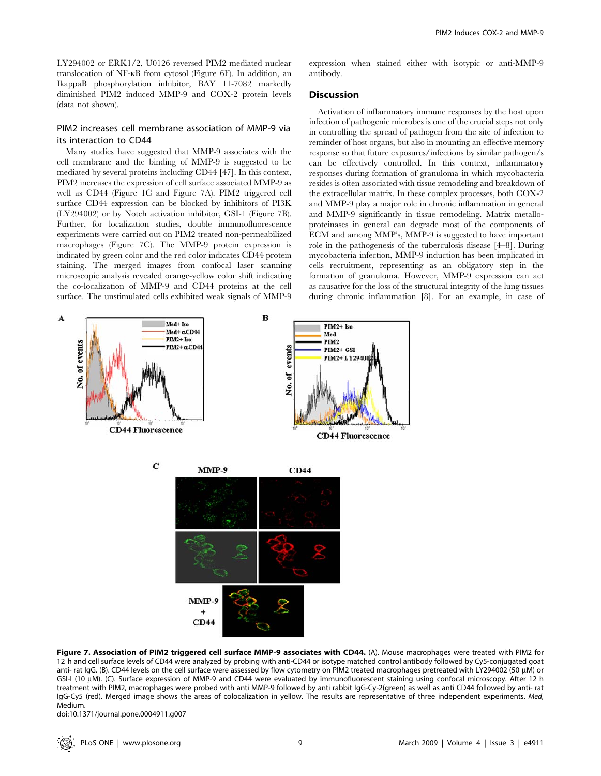LY294002 or ERK1/2, U0126 reversed PIM2 mediated nuclear translocation of NF-kB from cytosol (Figure 6F). In addition, an IkappaB phosphorylation inhibitor, BAY 11-7082 markedly diminished PIM2 induced MMP-9 and COX-2 protein levels (data not shown).

# PIM2 increases cell membrane association of MMP-9 via its interaction to CD44

Many studies have suggested that MMP-9 associates with the cell membrane and the binding of MMP-9 is suggested to be mediated by several proteins including CD44 [47]. In this context, PIM2 increases the expression of cell surface associated MMP-9 as well as CD44 (Figure 1C and Figure 7A). PIM2 triggered cell surface CD44 expression can be blocked by inhibitors of PI3K (LY294002) or by Notch activation inhibitor, GSI-1 (Figure 7B). Further, for localization studies, double immunofluorescence experiments were carried out on PIM2 treated non-permeabilized macrophages (Figure 7C). The MMP-9 protein expression is indicated by green color and the red color indicates CD44 protein staining. The merged images from confocal laser scanning microscopic analysis revealed orange-yellow color shift indicating the co-localization of MMP-9 and CD44 proteins at the cell surface. The unstimulated cells exhibited weak signals of MMP-9 expression when stained either with isotypic or anti-MMP-9 antibody.

# **Discussion**

Activation of inflammatory immune responses by the host upon infection of pathogenic microbes is one of the crucial steps not only in controlling the spread of pathogen from the site of infection to reminder of host organs, but also in mounting an effective memory response so that future exposures/infections by similar pathogen/s can be effectively controlled. In this context, inflammatory responses during formation of granuloma in which mycobacteria resides is often associated with tissue remodeling and breakdown of the extracellular matrix. In these complex processes, both COX-2 and MMP-9 play a major role in chronic inflammation in general and MMP-9 significantly in tissue remodeling. Matrix metalloproteinases in general can degrade most of the components of ECM and among MMP's, MMP-9 is suggested to have important role in the pathogenesis of the tuberculosis disease [4–8]. During mycobacteria infection, MMP-9 induction has been implicated in cells recruitment, representing as an obligatory step in the formation of granuloma. However, MMP-9 expression can act as causative for the loss of the structural integrity of the lung tissues during chronic inflammation [8]. For an example, in case of



Figure 7. Association of PIM2 triggered cell surface MMP-9 associates with CD44. (A). Mouse macrophages were treated with PIM2 for 12 h and cell surface levels of CD44 were analyzed by probing with anti-CD44 or isotype matched control antibody followed by Cy5-conjugated goat anti- rat IgG. (B). CD44 levels on the cell surface were assessed by flow cytometry on PIM2 treated macrophages pretreated with LY294002 (50 µM) or GSI-I (10 µM). (C). Surface expression of MMP-9 and CD44 were evaluated by immunofluorescent staining using confocal microscopy. After 12 h treatment with PIM2, macrophages were probed with anti MMP-9 followed by anti rabbit IgG-Cy-2(green) as well as anti CD44 followed by anti- rat IgG-Cy5 (red). Merged image shows the areas of colocalization in yellow. The results are representative of three independent experiments. Med, Medium.

doi:10.1371/journal.pone.0004911.g007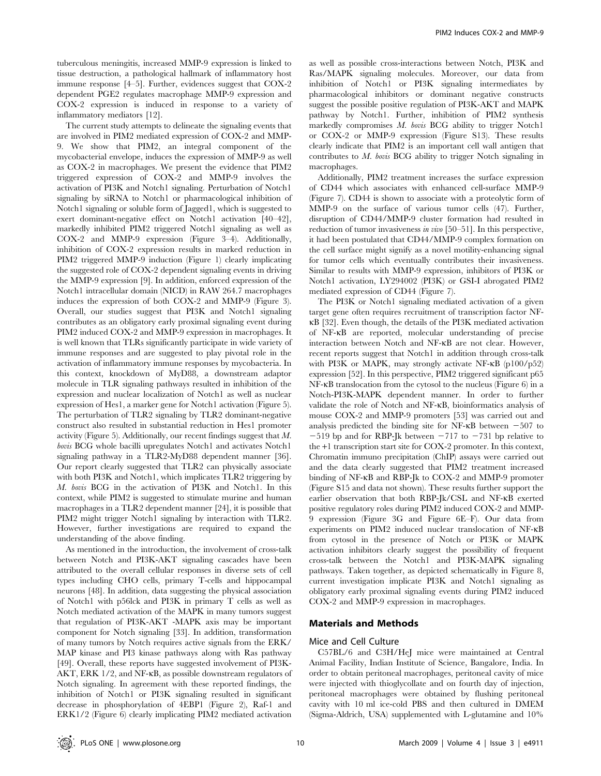tuberculous meningitis, increased MMP-9 expression is linked to tissue destruction, a pathological hallmark of inflammatory host immune response [4–5]. Further, evidences suggest that COX-2 dependent PGE2 regulates macrophage MMP-9 expression and COX-2 expression is induced in response to a variety of inflammatory mediators [12].

The current study attempts to delineate the signaling events that are involved in PIM2 mediated expression of COX-2 and MMP-9. We show that PIM2, an integral component of the mycobacterial envelope, induces the expression of MMP-9 as well as COX-2 in macrophages. We present the evidence that PIM2 triggered expression of COX-2 and MMP-9 involves the activation of PI3K and Notch1 signaling. Perturbation of Notch1 signaling by siRNA to Notch1 or pharmacological inhibition of Notch1 signaling or soluble form of Jagged1, which is suggested to exert dominant-negative effect on Notch1 activation [40–42], markedly inhibited PIM2 triggered Notch1 signaling as well as COX-2 and MMP-9 expression (Figure 3–4). Additionally, inhibition of COX-2 expression results in marked reduction in PIM2 triggered MMP-9 induction (Figure 1) clearly implicating the suggested role of COX-2 dependent signaling events in driving the MMP-9 expression [9]. In addition, enforced expression of the Notch1 intracellular domain (NICD) in RAW 264.7 macrophages induces the expression of both COX-2 and MMP-9 (Figure 3). Overall, our studies suggest that PI3K and Notch1 signaling contributes as an obligatory early proximal signaling event during PIM2 induced COX-2 and MMP-9 expression in macrophages. It is well known that TLRs significantly participate in wide variety of immune responses and are suggested to play pivotal role in the activation of inflammatory immune responses by mycobacteria. In this context, knockdown of MyD88, a downstream adaptor molecule in TLR signaling pathways resulted in inhibition of the expression and nuclear localization of Notch1 as well as nuclear expression of Hes1, a marker gene for Notch1 activation (Figure 5). The perturbation of TLR2 signaling by TLR2 dominant-negative construct also resulted in substantial reduction in Hes1 promoter activity (Figure 5). Additionally, our recent findings suggest that M. bovis BCG whole bacilli upregulates Notch1 and activates Notch1 signaling pathway in a TLR2-MyD88 dependent manner [36]. Our report clearly suggested that TLR2 can physically associate with both PI3K and Notch1, which implicates TLR2 triggering by M. bovis BCG in the activation of PI3K and Notch1. In this context, while PIM2 is suggested to stimulate murine and human macrophages in a TLR2 dependent manner [24], it is possible that PIM2 might trigger Notch1 signaling by interaction with TLR2. However, further investigations are required to expand the understanding of the above finding.

As mentioned in the introduction, the involvement of cross-talk between Notch and PI3K-AKT signaling cascades have been attributed to the overall cellular responses in diverse sets of cell types including CHO cells, primary T-cells and hippocampal neurons [48]. In addition, data suggesting the physical association of Notch1 with p56lck and PI3K in primary T cells as well as Notch mediated activation of the MAPK in many tumors suggest that regulation of PI3K-AKT -MAPK axis may be important component for Notch signaling [33]. In addition, transformation of many tumors by Notch requires active signals from the ERK/ MAP kinase and PI3 kinase pathways along with Ras pathway [49]. Overall, these reports have suggested involvement of PI3K-AKT, ERK 1/2, and NF-KB, as possible downstream regulators of Notch signaling. In agreement with these reported findings, the inhibition of Notch1 or PI3K signaling resulted in significant decrease in phosphorylation of 4EBP1 (Figure 2), Raf-1 and ERK1/2 (Figure 6) clearly implicating PIM2 mediated activation

as well as possible cross-interactions between Notch, PI3K and Ras/MAPK signaling molecules. Moreover, our data from inhibition of Notch1 or PI3K signaling intermediates by pharmacological inhibitors or dominant negative constructs suggest the possible positive regulation of PI3K-AKT and MAPK pathway by Notch1. Further, inhibition of PIM2 synthesis markedly compromises M. bovis BCG ability to trigger Notch1 or COX-2 or MMP-9 expression (Figure S13). These results clearly indicate that PIM2 is an important cell wall antigen that contributes to  $M$ . bovis BCG ability to trigger Notch signaling in macrophages.

Additionally, PIM2 treatment increases the surface expression of CD44 which associates with enhanced cell-surface MMP-9 (Figure 7). CD44 is shown to associate with a proteolytic form of MMP-9 on the surface of various tumor cells (47). Further, disruption of CD44/MMP-9 cluster formation had resulted in reduction of tumor invasiveness in vivo [50–51]. In this perspective, it had been postulated that CD44/MMP-9 complex formation on the cell surface might signify as a novel motility-enhancing signal for tumor cells which eventually contributes their invasiveness. Similar to results with MMP-9 expression, inhibitors of PI3K or Notch1 activation, LY294002 (PI3K) or GSI-I abrogated PIM2 mediated expression of CD44 (Figure 7).

The PI3K or Notch1 signaling mediated activation of a given target gene often requires recruitment of transcription factor NFkB [32]. Even though, the details of the PI3K mediated activation of NF-kB are reported, molecular understanding of precise interaction between Notch and NF-kB are not clear. However, recent reports suggest that Notch1 in addition through cross-talk with PI3K or MAPK, may strongly activate NF-kB (p100/p52) expression [52]. In this perspective, PIM2 triggered significant p65 NF-kB translocation from the cytosol to the nucleus (Figure 6) in a Notch-PI3K-MAPK dependent manner. In order to further validate the role of Notch and NF-kB, bioinformatics analysis of mouse COX-2 and MMP-9 promoters [53] was carried out and analysis predicted the binding site for NF- $\kappa$ B between  $-507$  to  $-519$  bp and for RBP-Jk between  $-717$  to  $-731$  bp relative to the +1 transcription start site for COX-2 promoter. In this context, Chromatin immuno precipitation (ChIP) assays were carried out and the data clearly suggested that PIM2 treatment increased binding of NF-kB and RBP-Jk to COX-2 and MMP-9 promoter (Figure S15 and data not shown). These results further support the earlier observation that both RBP-Jk/CSL and NF-kB exerted positive regulatory roles during PIM2 induced COX-2 and MMP-9 expression (Figure 3G and Figure 6E–F). Our data from experiments on PIM2 induced nuclear translocation of NF-kB from cytosol in the presence of Notch or PI3K or MAPK activation inhibitors clearly suggest the possibility of frequent cross-talk between the Notch1 and PI3K-MAPK signaling pathways. Taken together, as depicted schematically in Figure 8, current investigation implicate PI3K and Notch1 signaling as obligatory early proximal signaling events during PIM2 induced COX-2 and MMP-9 expression in macrophages.

#### Materials and Methods

### Mice and Cell Culture

C57BL/6 and C3H/HeJ mice were maintained at Central Animal Facility, Indian Institute of Science, Bangalore, India. In order to obtain peritoneal macrophages, peritoneal cavity of mice were injected with thioglycollate and on fourth day of injection, peritoneal macrophages were obtained by flushing peritoneal cavity with 10 ml ice-cold PBS and then cultured in DMEM (Sigma-Aldrich, USA) supplemented with L-glutamine and 10%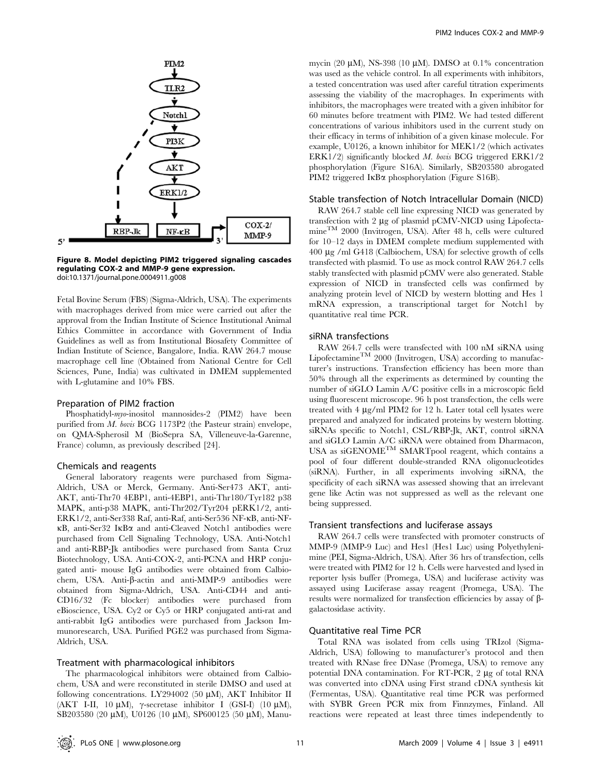

Figure 8. Model depicting PIM2 triggered signaling cascades regulating COX-2 and MMP-9 gene expression. doi:10.1371/journal.pone.0004911.g008

Fetal Bovine Serum (FBS) (Sigma-Aldrich, USA). The experiments with macrophages derived from mice were carried out after the approval from the Indian Institute of Science Institutional Animal Ethics Committee in accordance with Government of India Guidelines as well as from Institutional Biosafety Committee of Indian Institute of Science, Bangalore, India. RAW 264.7 mouse macrophage cell line (Obtained from National Centre for Cell Sciences, Pune, India) was cultivated in DMEM supplemented with L-glutamine and 10% FBS.

#### Preparation of PIM2 fraction

Phosphatidyl-myo-inositol mannosides-2 (PIM2) have been purified from M. bovis BCG 1173P2 (the Pasteur strain) envelope, on QMA-Spherosil M (BioSepra SA, Villeneuve-la-Garenne, France) column, as previously described [24].

#### Chemicals and reagents

General laboratory reagents were purchased from Sigma-Aldrich, USA or Merck, Germany. Anti-Ser473 AKT, anti-AKT, anti-Thr70 4EBP1, anti-4EBP1, anti-Thr180/Tyr182 p38 MAPK, anti-p38 MAPK, anti-Thr202/Tyr204 pERK1/2, anti-ERK1/2, anti-Ser338 Raf, anti-Raf, anti-Ser536 NF-kB, anti-NFkB, anti-Ser32 IkBa and anti-Cleaved Notch1 antibodies were purchased from Cell Signaling Technology, USA. Anti-Notch1 and anti-RBP-Jk antibodies were purchased from Santa Cruz Biotechnology, USA. Anti-COX-2, anti-PCNA and HRP conjugated anti- mouse IgG antibodies were obtained from Calbiochem, USA. Anti-β-actin and anti-MMP-9 antibodies were obtained from Sigma-Aldrich, USA. Anti-CD44 and anti-CD16/32 (Fc blocker) antibodies were purchased from eBioscience, USA. Cy2 or Cy5 or HRP conjugated anti-rat and anti-rabbit IgG antibodies were purchased from Jackson Immunoresearch, USA. Purified PGE2 was purchased from Sigma-Aldrich, USA.

#### Treatment with pharmacological inhibitors

The pharmacological inhibitors were obtained from Calbiochem, USA and were reconstituted in sterile DMSO and used at following concentrations. LY294002 (50  $\mu$ M), AKT Inhibitor II (AKT I-II, 10  $\mu$ M),  $\gamma$ -secretase inhibitor I (GSI-I) (10  $\mu$ M), SB203580 (20 μM), U0126 (10 μM), SP600125 (50 μM), Manumycin (20  $\mu$ M), NS-398 (10  $\mu$ M). DMSO at 0.1% concentration was used as the vehicle control. In all experiments with inhibitors, a tested concentration was used after careful titration experiments assessing the viability of the macrophages. In experiments with inhibitors, the macrophages were treated with a given inhibitor for 60 minutes before treatment with PIM2. We had tested different concentrations of various inhibitors used in the current study on their efficacy in terms of inhibition of a given kinase molecule. For example, U0126, a known inhibitor for MEK1/2 (which activates ERK1/2) significantly blocked M. bovis BCG triggered ERK1/2 phosphorylation (Figure S16A). Similarly, SB203580 abrogated PIM2 triggered IKB $\alpha$  phosphorylation (Figure S16B).

#### Stable transfection of Notch Intracellular Domain (NICD)

RAW 264.7 stable cell line expressing NICD was generated by transfection with  $2 \mu$ g of plasmid pCMV-NICD using LipofectamineTM 2000 (Invitrogen, USA). After 48 h, cells were cultured for 10–12 days in DMEM complete medium supplemented with 400 mg /ml G418 (Calbiochem, USA) for selective growth of cells transfected with plasmid. To use as mock control RAW 264.7 cells stably transfected with plasmid pCMV were also generated. Stable expression of NICD in transfected cells was confirmed by analyzing protein level of NICD by western blotting and Hes 1 mRNA expression, a transcriptional target for Notch1 by quantitative real time PCR.

### siRNA transfections

RAW 264.7 cells were transfected with 100 nM siRNA using Lipofectamine<sup>TM</sup> 2000 (Invitrogen, USA) according to manufacturer's instructions. Transfection efficiency has been more than 50% through all the experiments as determined by counting the number of siGLO Lamin A/C positive cells in a microscopic field using fluorescent microscope. 96 h post transfection, the cells were treated with  $4 \mu g/ml$  PIM2 for 12 h. Later total cell lysates were prepared and analyzed for indicated proteins by western blotting. siRNAs specific to Notch1, CSL/RBP-Jk, AKT, control siRNA and siGLO Lamin A/C siRNA were obtained from Dharmacon, USA as siGENOMETM SMARTpool reagent, which contains a pool of four different double-stranded RNA oligonucleotides (siRNA). Further, in all experiments involving siRNA, the specificity of each siRNA was assessed showing that an irrelevant gene like Actin was not suppressed as well as the relevant one being suppressed.

# Transient transfections and luciferase assays

RAW 264.7 cells were transfected with promoter constructs of MMP-9 (MMP-9 Luc) and Hes1 (Hes1 Luc) using Polyethylenimine (PEI, Sigma-Aldrich, USA). After 36 hrs of transfection, cells were treated with PIM2 for 12 h. Cells were harvested and lysed in reporter lysis buffer (Promega, USA) and luciferase activity was assayed using Luciferase assay reagent (Promega, USA). The results were normalized for transfection efficiencies by assay of  $\beta$ galactosidase activity.

# Quantitative real Time PCR

Total RNA was isolated from cells using TRIzol (Sigma-Aldrich, USA) following to manufacturer's protocol and then treated with RNase free DNase (Promega, USA) to remove any potential DNA contamination. For RT-PCR, 2 µg of total RNA was converted into cDNA using First strand cDNA synthesis kit (Fermentas, USA). Quantitative real time PCR was performed with SYBR Green PCR mix from Finnzymes, Finland. All reactions were repeated at least three times independently to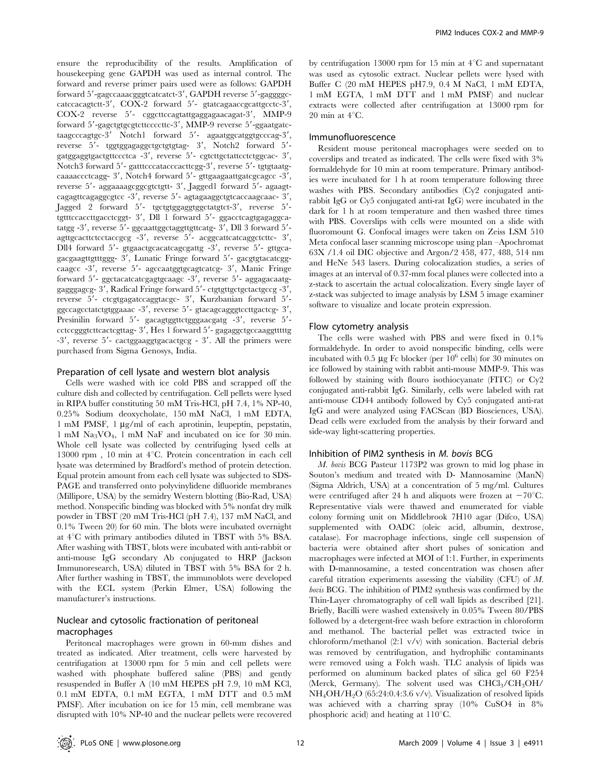ensure the reproducibility of the results. Amplification of housekeeping gene GAPDH was used as internal control. The forward and reverse primer pairs used were as follows: GAPDH forward 5'-gagccaaacgggtcatcatct-3', GAPDH reverse 5'-gaggggccatccacagtctt-3', COX-2 forward 5'- gtatcagaaccgcattgcctc-3', COX-2 reverse 5'- cggcttccagtattgaggagaacagat-3', MMP-9 forward 5'-gagctgtgcgtcttccccttc-3', MMP-9 reverse 5'-ggaatgatctaagcccagtgc-3<sup>'</sup> Notch1 forward 5'- agaatggcatggtgcccag-3', reverse 5'- tggtggagaggctgctgtgtag- 3', Notch2 forward 5'gatggaggtgactgttccctca -3', reverse 5'- cgtcttgctattcctctggcac- 3', Notch3 forward 5'- gatttcccatacccacttcgg-3', reverse 5'- tgtgtaatgcaaaaccctcagg- 3', Notch4 forward 5'- gttgaagaattgatcgcagcc -3', reverse 5'- aggaaaagcggcgtctgtt- 3', Jagged1 forward 5'- agaagtcagagttcagaggcgtcc -3', reverse 5'- agtagaaggctgtcaccaagcaac- 3', Jagged 2 forward 5'- tgctgtggaggtggctatgtct-3', reverse 5'tgtttccaccttgacctcggt- 3', Dll 1 forward 5'- ggacctcagtgagaggcatatgg  $-3'$ , reverse  $5'$ - ggcaattggctaggttgttcatg-  $3'$ , Dll 3 forward  $5'$ agttgcacttctcctaccgcg  $-3'$ , reverse  $5'$ - acggcattcatcaggctcttc-  $3'$ , Dll4 forward 5'- gtgaactgcacatcagcgattg -3', reverse 5'- gttgcagacgaagttgtttggg- 3', Lunatic Fringe forward 5'- gacgtgtacatcggcaagcc -3', reverse 5'- agccaatggtgcagtcatcg- 3', Manic Fringe forward 5'- ggctacatcatcgagtgcaagc -3', reverse 5'- aggagacaatggagggagcg- 3', Radical Fringe forward 5'- ctgtgttgctgctactgccg -3', reverse 5'- ctcgtgagatccaggtacgc- 3', Kurzbanian forward 5'ggccagcctatctgtggaaac -3', reverse 5'- gtacagcagggtccttgactcg- 3', Presinilin forward 5'- gacagtggttctgggaacgatg -3', reverse 5'cctccgggtcttcactcgttag- 3', Hes 1 forward 5'- gagaggctgccaaggtttttg  $-3'$ , reverse  $5'$ - cactggaaggtgacactgcg -  $3'$ . All the primers were purchased from Sigma Genosys, India.

### Preparation of cell lysate and western blot analysis

Cells were washed with ice cold PBS and scrapped off the culture dish and collected by centrifugation. Cell pellets were lysed in RIPA buffer constituting 50 mM Tris-HCl, pH 7.4, 1% NP-40, 0.25% Sodium deoxycholate, 150 mM NaCl, 1 mM EDTA,  $1 \text{ mM}$  PMSF,  $1 \mu g/ml$  of each aprotinin, leupeptin, pepstatin, 1 mM Na3VO4, 1 mM NaF and incubated on ice for 30 min. Whole cell lysate was collected by centrifuging lysed cells at 13000 rpm, 10 min at  $4^{\circ}$ C. Protein concentration in each cell lysate was determined by Bradford's method of protein detection. Equal protein amount from each cell lysate was subjected to SDS-PAGE and transferred onto polyvinylidene difluoride membranes (Millipore, USA) by the semidry Western blotting (Bio-Rad, USA) method. Nonspecific binding was blocked with 5% nonfat dry milk powder in TBST (20 mM Tris-HCl (pH 7.4), 137 mM NaCl, and 0.1% Tween 20) for 60 min. The blots were incubated overnight at  $4^{\circ}$ C with primary antibodies diluted in TBST with 5% BSA. After washing with TBST, blots were incubated with anti-rabbit or anti-mouse IgG secondary Ab conjugated to HRP (Jackson Immunoresearch, USA) diluted in TBST with 5% BSA for 2 h. After further washing in TBST, the immunoblots were developed with the ECL system (Perkin Elmer, USA) following the manufacturer's instructions.

# Nuclear and cytosolic fractionation of peritoneal macrophages

Peritoneal macrophages were grown in 60-mm dishes and treated as indicated. After treatment, cells were harvested by centrifugation at 13000 rpm for 5 min and cell pellets were washed with phosphate buffered saline (PBS) and gently resuspended in Buffer A (10 mM HEPES pH 7.9, 10 mM KCl, 0.1 mM EDTA, 0.1 mM EGTA, 1 mM DTT and 0.5 mM PMSF). After incubation on ice for 15 min, cell membrane was disrupted with 10% NP-40 and the nuclear pellets were recovered by centrifugation 13000 rpm for 15 min at  $4^{\circ}$ C and supernatant was used as cytosolic extract. Nuclear pellets were lysed with Buffer C (20 mM HEPES pH7.9, 0.4 M NaCl, 1 mM EDTA, 1 mM EGTA, 1 mM DTT and 1 mM PMSF) and nuclear extracts were collected after centrifugation at 13000 rpm for 20 min at  $4^{\circ}$ C.

# Immunofluorescence

Resident mouse peritoneal macrophages were seeded on to coverslips and treated as indicated. The cells were fixed with 3% formaldehyde for 10 min at room temperature. Primary antibodies were incubated for 1 h at room temperature following three washes with PBS. Secondary antibodies (Cy2 conjugated antirabbit IgG or Cy5 conjugated anti-rat IgG) were incubated in the dark for 1 h at room temperature and then washed three times with PBS. Coverslips with cells were mounted on a slide with fluoromount G. Confocal images were taken on Zeiss LSM 510 Meta confocal laser scanning microscope using plan –Apochromat 63X /1.4 oil DIC objective and Argon/2 458, 477, 488, 514 nm and HeNe 543 lasers. During colocalization studies, a series of images at an interval of 0.37-mm focal planes were collected into a z-stack to ascertain the actual colocalization. Every single layer of z-stack was subjected to image analysis by LSM 5 image examiner software to visualize and locate protein expression.

# Flow cytometry analysis

The cells were washed with PBS and were fixed in 0.1% formaldehyde. In order to avoid nonspecific binding, cells were incubated with 0.5  $\mu$ g Fc blocker (per 10<sup>6</sup> cells) for 30 minutes on ice followed by staining with rabbit anti-mouse MMP-9. This was followed by staining with flouro isothiocyanate (FITC) or Cy2 conjugated anti-rabbit IgG. Similarly, cells were labeled with rat anti-mouse CD44 antibody followed by Cy5 conjugated anti-rat IgG and were analyzed using FACScan (BD Biosciences, USA). Dead cells were excluded from the analysis by their forward and side-way light-scattering properties.

# Inhibition of PIM2 synthesis in M. bovis BCG

M. bovis BCG Pasteur 1173P2 was grown to mid log phase in Souton's medium and treated with D- Mannosamine (ManN) (Sigma Aldrich, USA) at a concentration of 5 mg/ml. Cultures were centrifuged after 24 h and aliquots were frozen at  $-70^{\circ}$ C. Representative vials were thawed and enumerated for viable colony forming unit on Middlebrook 7H10 agar (Difco, USA) supplemented with OADC (oleic acid, albumin, dextrose, catalase). For macrophage infections, single cell suspension of bacteria were obtained after short pulses of sonication and macrophages were infected at MOI of 1:1. Further, in experiments with D-mannosamine, a tested concentration was chosen after careful titration experiments assessing the viability (CFU) of M. bovis BCG. The inhibition of PIM2 synthesis was confirmed by the Thin-Layer chromatography of cell wall lipids as described [21]. Briefly, Bacilli were washed extensively in 0.05% Tween 80/PBS followed by a detergent-free wash before extraction in chloroform and methanol. The bacterial pellet was extracted twice in chloroform/methanol (2:1 v/v) with sonication. Bacterial debris was removed by centrifugation, and hydrophilic contaminants were removed using a Folch wash. TLC analysis of lipids was performed on aluminum backed plates of silica gel 60 F254 (Merck, Germany). The solvent used was CHCl<sub>3</sub>/CH<sub>3</sub>OH/ NH4OH/H2O (65:24:0.4:3.6 v/v). Visualization of resolved lipids was achieved with a charring spray (10% CuSO4 in 8% phosphoric acid) and heating at  $110^{\circ}$ C.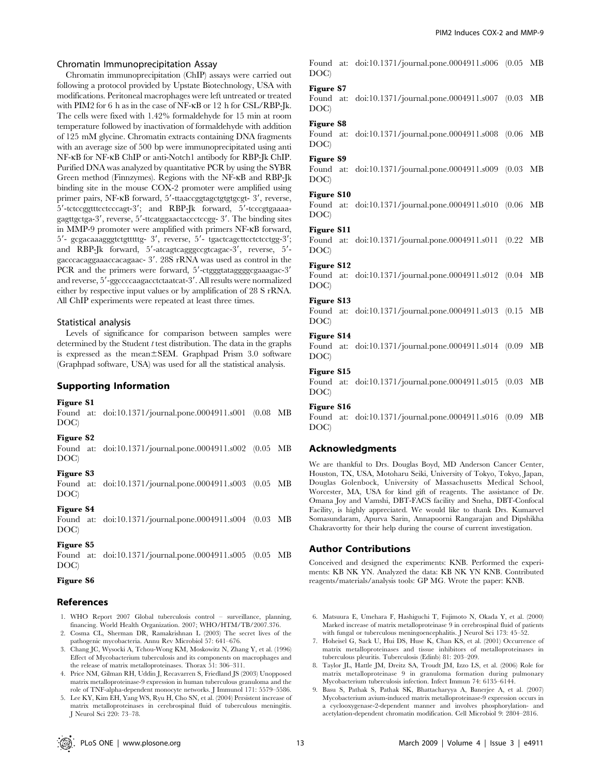#### Chromatin Immunoprecipitation Assay

Chromatin immunoprecipitation (ChIP) assays were carried out following a protocol provided by Upstate Biotechnology, USA with modifications. Peritoneal macrophages were left untreated or treated with PIM2 for 6 h as in the case of NF-KB or 12 h for CSL/RBP-Jk. The cells were fixed with 1.42% formaldehyde for 15 min at room temperature followed by inactivation of formaldehyde with addition of 125 mM glycine. Chromatin extracts containing DNA fragments with an average size of 500 bp were immunoprecipitated using anti NF-kB for NF-kB ChIP or anti-Notch1 antibody for RBP-Jk ChIP. Purified DNA was analyzed by quantitative PCR by using the SYBR Green method (Finnzymes). Regions with the NF-kB and RBP-Jk binding site in the mouse COX-2 promoter were amplified using primer pairs, NF-KB forward, 5'-ttaaccggtagctgtgtgcgt- 3', reverse, 5'-tctccggtttcctcccagt-3'; and RBP-Jk forward, 5'-tcccgtgaaaagagttgctga-3', reverse, 5'-ttcatggaactaccctccgg- 3'. The binding sites in MMP-9 promoter were amplified with primers NF-kB forward, 5'- gcgacaaagggtctgtttttg- 3', reverse, 5'- tgactcagcttcctctcctgg-3'; and RBP-Jk forward, 5'-atcagtcagggccgtcagac-3', reverse, 5'gacccacaggaaaccacagaac- 3'. 28S rRNA was used as control in the PCR and the primers were forward, 5'-ctgggtataggggggaaagac-3' and reverse, 5'-ggccccaagacctctaatcat-3'. All results were normalized either by respective input values or by amplification of 28 S rRNA. All ChIP experiments were repeated at least three times.

#### Statistical analysis

Levels of significance for comparison between samples were determined by the Student  $t$  test distribution. The data in the graphs is expressed as the mean $\pm$ SEM. Graphpad Prism 3.0 software (Graphpad software, USA) was used for all the statistical analysis.

# Supporting Information

#### Figure S1

Found at: doi:10.1371/journal.pone.0004911.s001 (0.08 MB DOC)

#### Figure S2

Found at: doi:10.1371/journal.pone.0004911.s002 (0.05 MB DOC)

#### Figure S3

Found at: doi:10.1371/journal.pone.0004911.s003 (0.05 MB DOC)

# Figure S4

Found at: doi:10.1371/journal.pone.0004911.s004 (0.03 MB DOC)

#### Figure S5

Found at: doi:10.1371/journal.pone.0004911.s005 (0.05 MB DOC)

#### Figure S6

# References

- 1. WHO Report 2007 Global tuberculosis control surveillance, planning, financing. World Health Organization. 2007; WHO/HTM/TB/2007.376.
- 2. Cosma CL, Sherman DR, Ramakrishnan L (2003) The secret lives of the pathogenic mycobacteria. Annu Rev Microbiol 57: 641–676.
- 3. Chang JC, Wysocki A, Tchou-Wong KM, Moskowitz N, Zhang Y, et al. (1996) Effect of Mycobacterium tuberculosis and its components on macrophages and the release of matrix metalloproteinases. Thorax 51: 306–311.
- 4. Price NM, Gilman RH, Uddin J, Recavarren S, Friedland JS (2003) Unopposed matrix metalloproteinase-9 expression in human tuberculous granuloma and the role of TNF-alpha-dependent monocyte networks. J Immunol 171: 5579–5586.
- 5. Lee KY, Kim EH, Yang WS, Ryu H, Cho SN, et al. (2004) Persistent increase of matrix metalloproteinases in cerebrospinal fluid of tuberculous meningitis. J Neurol Sci 220: 73–78.

Found at: doi:10.1371/journal.pone.0004911.s006 (0.05 MB DOC)

#### Figure S7

Found at: doi:10.1371/journal.pone.0004911.s007 (0.03 MB DOC)

### Figure S8

Found at: doi:10.1371/journal.pone.0004911.s008 (0.06 MB DOC)

### Figure S9

Found at: doi:10.1371/journal.pone.0004911.s009 (0.03 MB DOC)

#### Figure S10

Found at: doi:10.1371/journal.pone.0004911.s010 (0.06 MB DOC)

# Figure S11

Found at: doi:10.1371/journal.pone.0004911.s011 (0.22 MB DOC)

#### Figure S12

Found at: doi:10.1371/journal.pone.0004911.s012 (0.04 MB DOC)

#### Figure S13

Found at: doi:10.1371/journal.pone.0004911.s013 (0.15 MB DOC)

### Figure S14

Found at: doi:10.1371/journal.pone.0004911.s014 (0.09 MB DOC)

#### Figure S15

Found at: doi:10.1371/journal.pone.0004911.s015 (0.03 MB DOC)

#### Figure S16

Found at: doi:10.1371/journal.pone.0004911.s016 (0.09 MB DOC)

#### Acknowledgments

We are thankful to Drs. Douglas Boyd, MD Anderson Cancer Center, Houston, TX, USA, Motoharu Seiki, University of Tokyo, Tokyo, Japan, Douglas Golenbock, University of Massachusetts Medical School, Worcester, MA, USA for kind gift of reagents. The assistance of Dr. Omana Joy and Vamshi, DBT-FACS facility and Sneha, DBT-Confocal Facility, is highly appreciated. We would like to thank Drs. Kumarvel Somasundaram, Apurva Sarin, Annapoorni Rangarajan and Dipshikha Chakravortty for their help during the course of current investigation.

### Author Contributions

Conceived and designed the experiments: KNB. Performed the experiments: KB NK YN. Analyzed the data: KB NK YN KNB. Contributed reagents/materials/analysis tools: GP MG. Wrote the paper: KNB.

- 6. Matsuura E, Umehara F, Hashiguchi T, Fujimoto N, Okada Y, et al. (2000) Marked increase of matrix metalloproteinase 9 in cerebrospinal fluid of patients with fungal or tuberculous meningoencephalitis. J Neurol Sci 173: 45–52.
- 7. Hoheisel G, Sack U, Hui DS, Huse K, Chan KS, et al. (2001) Occurrence of matrix metalloproteinases and tissue inhibitors of metalloproteinases in tuberculous pleuritis. Tuberculosis (Edinb) 81: 203–209.
- 8. Taylor JL, Hattle JM, Dreitz SA, Troudt JM, Izzo LS, et al. (2006) Role for matrix metalloproteinase 9 in granuloma formation during pulmonary Mycobacterium tuberculosis infection. Infect Immun 74: 6135–6144.
- 9. Basu S, Pathak S, Pathak SK, Bhattacharyya A, Banerjee A, et al. (2007) Mycobacterium avium-induced matrix metalloproteinase-9 expression occurs in a cyclooxygenase-2-dependent manner and involves phosphorylation- and acetylation-dependent chromatin modification. Cell Microbiol 9: 2804–2816.